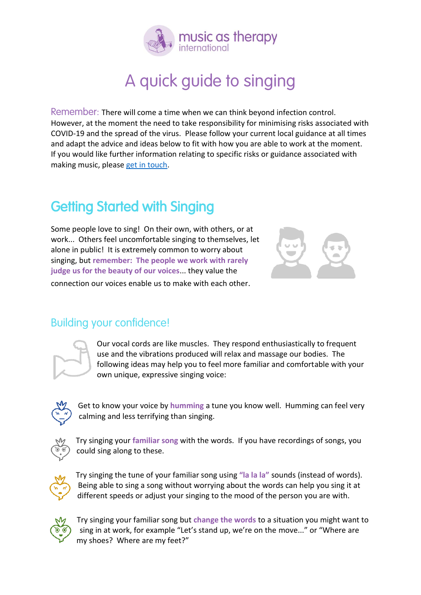

## A quick guide to singing

Remember: There will come a time when we can think beyond infection control. However, at the moment the need to take responsibility for minimising risks associated with COVID-19 and the spread of the virus. Please follow your current local guidance at all times and adapt the advice and ideas below to fit with how you are able to work at the moment. If you would like further information relating to specific risks or guidance associated with making music, please [get in touch.](mailto:ukprogrammes@musicastherapy.org?subject=Covid-safe%20music-making%20inquiry)

### Getting Started with Singing

Some people love to sing! On their own, with others, or at work... Others feel uncomfortable singing to themselves, let alone in public! It is extremely common to worry about singing, but **remember: The people we work with rarely judge us for the beauty of our voices**... they value the connection our voices enable us to make with each other.



#### Building your confidence!



Our vocal cords are like muscles. They respond enthusiastically to frequent use and the vibrations produced will relax and massage our bodies. The following ideas may help you to feel more familiar and comfortable with your own unique, expressive singing voice:



Get to know your voice by **humming** a tune you know well. Humming can feel very calming and less terrifying than singing.



Try singing your **familiar song** with the words. If you have recordings of songs, you could sing along to these.



Try singing the tune of your familiar song using **"la la la"** sounds (instead of words). Being able to sing a song without worrying about the words can help you sing it at different speeds or adjust your singing to the mood of the person you are with.



Try singing your familiar song but **change the words** to a situation you might want to sing in at work, for example "Let's stand up, we're on the move..." or "Where are my shoes? Where are my feet?"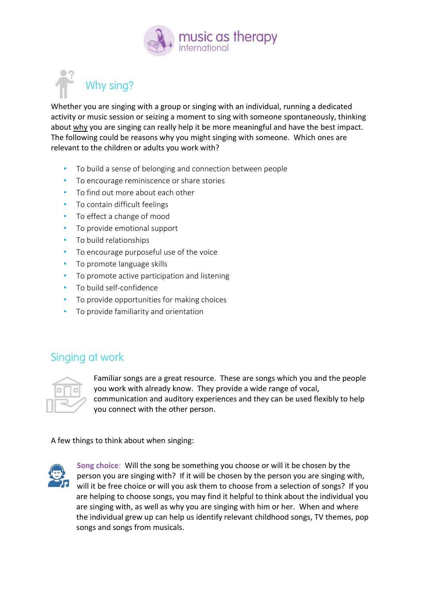

# Why sing?

Whether you are singing with a group or singing with an individual, running a dedicated activity or music session or seizing a moment to sing with someone spontaneously, thinking about why you are singing can really help it be more meaningful and have the best impact. The following could be reasons why you might singing with someone. Which ones are relevant to the children or adults you work with?

- To build a sense of belonging and connection between people
- To encourage reminiscence or share stories
- To find out more about each other
- To contain difficult feelings
- To effect a change of mood
- To provide emotional support
- To build relationships
- To encourage purposeful use of the voice
- To promote language skills
- To promote active participation and listening
- To build self-confidence
- To provide opportunities for making choices
- To provide familiarity and orientation

#### Singing at work



Familiar songs are a great resource. These are songs which you and the people you work with already know. They provide a wide range of vocal, communication and auditory experiences and they can be used flexibly to help you connect with the other person.

A few things to think about when singing:



**Song choice**: Will the song be something you choose or will it be chosen by the person you are singing with? If it will be chosen by the person you are singing with, will it be free choice or will you ask them to choose from a selection of songs? If you are helping to choose songs, you may find it helpful to think about the individual you are singing with, as well as why you are singing with him or her. When and where the individual grew up can help us identify relevant childhood songs, TV themes, pop songs and songs from musicals.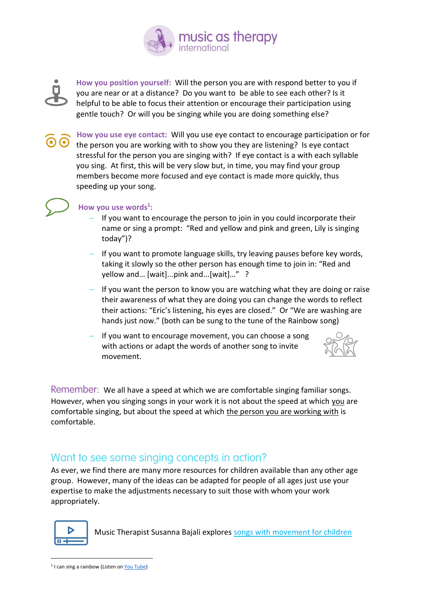



**How you position yourself:** Will the person you are with respond better to you if you are near or at a distance? Do you want to be able to see each other? Is it helpful to be able to focus their attention or encourage their participation using gentle touch? Or will you be singing while you are doing something else?

**How you use eye contact:** Will you use eye contact to encourage participation or for the person you are working with to show you they are listening? Is eye contact stressful for the person you are singing with? If eye contact is a with each syllable you sing. At first, this will be very slow but, in time, you may find your group members become more focused and eye contact is made more quickly, thus speeding up your song.



#### **How you use words<sup>1</sup> :**

- − If you want to encourage the person to join in you could incorporate their name or sing a prompt: "Red and yellow and pink and green, Lily is singing today")?
- If you want to promote language skills, try leaving pauses before key words, taking it slowly so the other person has enough time to join in: "Red and yellow and… [wait]...pink and...[wait]…" ?
- If you want the person to know you are watching what they are doing or raise their awareness of what they are doing you can change the words to reflect their actions: "Eric's listening, his eyes are closed." Or "We are washing are hands just now." (both can be sung to the tune of the Rainbow song)
- If you want to encourage movement, you can choose a song with actions or adapt the words of another song to invite movement.



Remember:We all have a speed at which we are comfortable singing familiar songs. However, when you singing songs in your work it is not about the speed at which you are comfortable singing, but about the speed at which the person you are working with is comfortable.

#### Want to see some singing concepts in action?

As ever, we find there are many more resources for children available than any other age group. However, many of the ideas can be adapted for people of all ages just use your expertise to make the adjustments necessary to suit those with whom your work appropriately.



Music Therapist Susanna Bajali explores [songs with movement for children](file:///C:/Users/alexi/Downloads/iframe%20title=%22vimeo-player%22%20src=%22https:/player.vimeo.com/video/434633832%22%20width=%22640%22%20height=%22360%22%20frameborder=%220%22%20allowfullscreen%3e%3c/iframe)